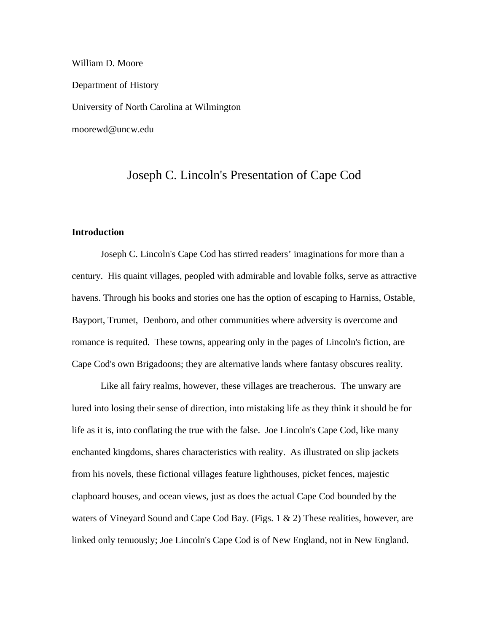William D. Moore Department of History University of North Carolina at Wilmington moorewd@uncw.edu

# Joseph C. Lincoln's Presentation of Cape Cod

## **Introduction**

 Joseph C. Lincoln's Cape Cod has stirred readers' imaginations for more than a century. His quaint villages, peopled with admirable and lovable folks, serve as attractive havens. Through his books and stories one has the option of escaping to Harniss, Ostable, Bayport, Trumet, Denboro, and other communities where adversity is overcome and romance is requited. These towns, appearing only in the pages of Lincoln's fiction, are Cape Cod's own Brigadoons; they are alternative lands where fantasy obscures reality.

Like all fairy realms, however, these villages are treacherous. The unwary are lured into losing their sense of direction, into mistaking life as they think it should be for life as it is, into conflating the true with the false. Joe Lincoln's Cape Cod, like many enchanted kingdoms, shares characteristics with reality. As illustrated on slip jackets from his novels, these fictional villages feature lighthouses, picket fences, majestic clapboard houses, and ocean views, just as does the actual Cape Cod bounded by the waters of Vineyard Sound and Cape Cod Bay. (Figs. 1 & 2) These realities, however, are linked only tenuously; Joe Lincoln's Cape Cod is of New England, not in New England.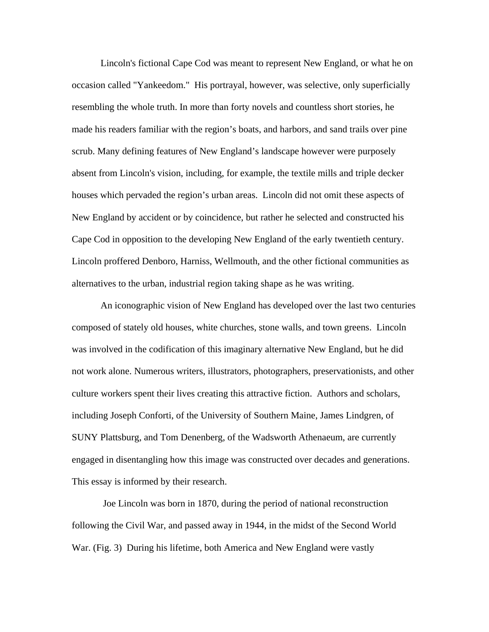Lincoln's fictional Cape Cod was meant to represent New England, or what he on occasion called "Yankeedom." His portrayal, however, was selective, only superficially resembling the whole truth. In more than forty novels and countless short stories, he made his readers familiar with the region's boats, and harbors, and sand trails over pine scrub. Many defining features of New England's landscape however were purposely absent from Lincoln's vision, including, for example, the textile mills and triple decker houses which pervaded the region's urban areas. Lincoln did not omit these aspects of New England by accident or by coincidence, but rather he selected and constructed his Cape Cod in opposition to the developing New England of the early twentieth century. Lincoln proffered Denboro, Harniss, Wellmouth, and the other fictional communities as alternatives to the urban, industrial region taking shape as he was writing.

 An iconographic vision of New England has developed over the last two centuries composed of stately old houses, white churches, stone walls, and town greens. Lincoln was involved in the codification of this imaginary alternative New England, but he did not work alone. Numerous writers, illustrators, photographers, preservationists, and other culture workers spent their lives creating this attractive fiction. Authors and scholars, including Joseph Conforti, of the University of Southern Maine, James Lindgren, of SUNY Plattsburg, and Tom Denenberg, of the Wadsworth Athenaeum, are currently engaged in disentangling how this image was constructed over decades and generations. This essay is informed by their research.

 Joe Lincoln was born in 1870, during the period of national reconstruction following the Civil War, and passed away in 1944, in the midst of the Second World War. (Fig. 3) During his lifetime, both America and New England were vastly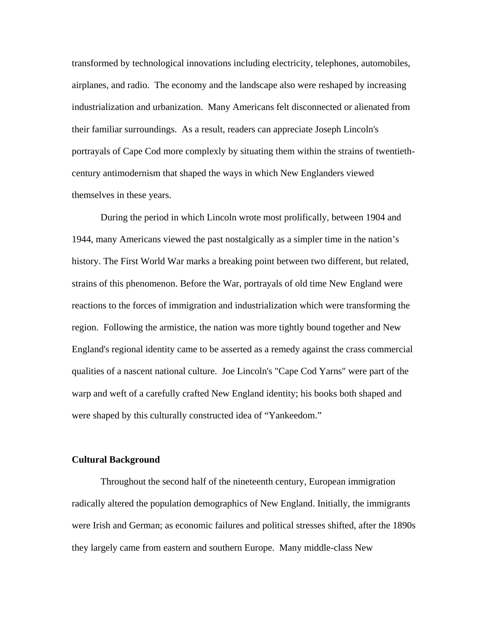transformed by technological innovations including electricity, telephones, automobiles, airplanes, and radio. The economy and the landscape also were reshaped by increasing industrialization and urbanization. Many Americans felt disconnected or alienated from their familiar surroundings. As a result, readers can appreciate Joseph Lincoln's portrayals of Cape Cod more complexly by situating them within the strains of twentiethcentury antimodernism that shaped the ways in which New Englanders viewed themselves in these years.

 During the period in which Lincoln wrote most prolifically, between 1904 and 1944, many Americans viewed the past nostalgically as a simpler time in the nation's history. The First World War marks a breaking point between two different, but related, strains of this phenomenon. Before the War, portrayals of old time New England were reactions to the forces of immigration and industrialization which were transforming the region. Following the armistice, the nation was more tightly bound together and New England's regional identity came to be asserted as a remedy against the crass commercial qualities of a nascent national culture. Joe Lincoln's "Cape Cod Yarns" were part of the warp and weft of a carefully crafted New England identity; his books both shaped and were shaped by this culturally constructed idea of "Yankeedom."

#### **Cultural Background**

Throughout the second half of the nineteenth century, European immigration radically altered the population demographics of New England. Initially, the immigrants were Irish and German; as economic failures and political stresses shifted, after the 1890s they largely came from eastern and southern Europe. Many middle-class New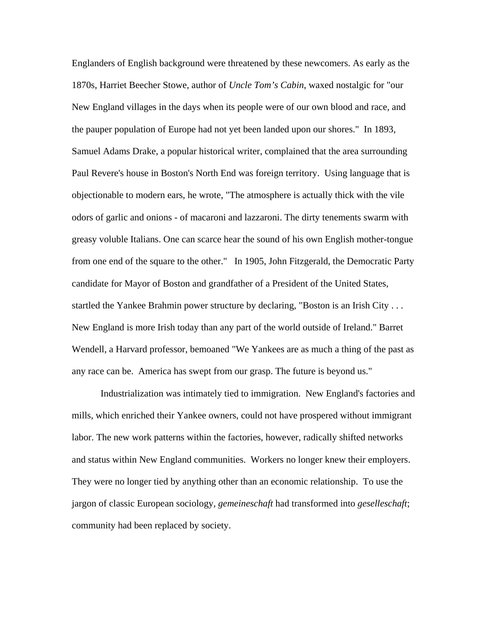Englanders of English background were threatened by these newcomers. As early as the 1870s, Harriet Beecher Stowe, author of *Uncle Tom's Cabin*, waxed nostalgic for "our New England villages in the days when its people were of our own blood and race, and the pauper population of Europe had not yet been landed upon our shores." In 1893, Samuel Adams Drake, a popular historical writer, complained that the area surrounding Paul Revere's house in Boston's North End was foreign territory. Using language that is objectionable to modern ears, he wrote, "The atmosphere is actually thick with the vile odors of garlic and onions - of macaroni and lazzaroni. The dirty tenements swarm with greasy voluble Italians. One can scarce hear the sound of his own English mother-tongue from one end of the square to the other." In 1905, John Fitzgerald, the Democratic Party candidate for Mayor of Boston and grandfather of a President of the United States, startled the Yankee Brahmin power structure by declaring, "Boston is an Irish City . . . New England is more Irish today than any part of the world outside of Ireland." Barret Wendell, a Harvard professor, bemoaned "We Yankees are as much a thing of the past as any race can be. America has swept from our grasp. The future is beyond us."

 Industrialization was intimately tied to immigration. New England's factories and mills, which enriched their Yankee owners, could not have prospered without immigrant labor. The new work patterns within the factories, however, radically shifted networks and status within New England communities. Workers no longer knew their employers. They were no longer tied by anything other than an economic relationship. To use the jargon of classic European sociology, *gemeineschaft* had transformed into *geselleschaft*; community had been replaced by society.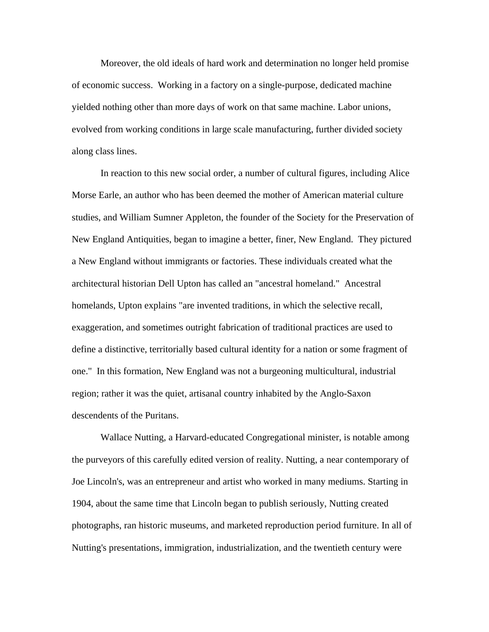Moreover, the old ideals of hard work and determination no longer held promise of economic success. Working in a factory on a single-purpose, dedicated machine yielded nothing other than more days of work on that same machine. Labor unions, evolved from working conditions in large scale manufacturing, further divided society along class lines.

In reaction to this new social order, a number of cultural figures, including Alice Morse Earle, an author who has been deemed the mother of American material culture studies, and William Sumner Appleton, the founder of the Society for the Preservation of New England Antiquities, began to imagine a better, finer, New England. They pictured a New England without immigrants or factories. These individuals created what the architectural historian Dell Upton has called an "ancestral homeland." Ancestral homelands, Upton explains "are invented traditions, in which the selective recall, exaggeration, and sometimes outright fabrication of traditional practices are used to define a distinctive, territorially based cultural identity for a nation or some fragment of one." In this formation, New England was not a burgeoning multicultural, industrial region; rather it was the quiet, artisanal country inhabited by the Anglo-Saxon descendents of the Puritans.

 Wallace Nutting, a Harvard-educated Congregational minister, is notable among the purveyors of this carefully edited version of reality. Nutting, a near contemporary of Joe Lincoln's, was an entrepreneur and artist who worked in many mediums. Starting in 1904, about the same time that Lincoln began to publish seriously, Nutting created photographs, ran historic museums, and marketed reproduction period furniture. In all of Nutting's presentations, immigration, industrialization, and the twentieth century were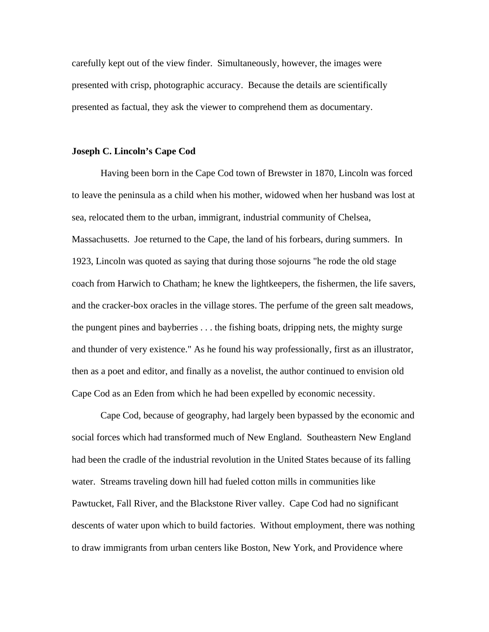carefully kept out of the view finder. Simultaneously, however, the images were presented with crisp, photographic accuracy. Because the details are scientifically presented as factual, they ask the viewer to comprehend them as documentary.

## **Joseph C. Lincoln's Cape Cod**

Having been born in the Cape Cod town of Brewster in 1870, Lincoln was forced to leave the peninsula as a child when his mother, widowed when her husband was lost at sea, relocated them to the urban, immigrant, industrial community of Chelsea, Massachusetts. Joe returned to the Cape, the land of his forbears, during summers. In 1923, Lincoln was quoted as saying that during those sojourns "he rode the old stage coach from Harwich to Chatham; he knew the lightkeepers, the fishermen, the life savers, and the cracker-box oracles in the village stores. The perfume of the green salt meadows, the pungent pines and bayberries . . . the fishing boats, dripping nets, the mighty surge and thunder of very existence." As he found his way professionally, first as an illustrator, then as a poet and editor, and finally as a novelist, the author continued to envision old Cape Cod as an Eden from which he had been expelled by economic necessity.

 Cape Cod, because of geography, had largely been bypassed by the economic and social forces which had transformed much of New England. Southeastern New England had been the cradle of the industrial revolution in the United States because of its falling water. Streams traveling down hill had fueled cotton mills in communities like Pawtucket, Fall River, and the Blackstone River valley. Cape Cod had no significant descents of water upon which to build factories. Without employment, there was nothing to draw immigrants from urban centers like Boston, New York, and Providence where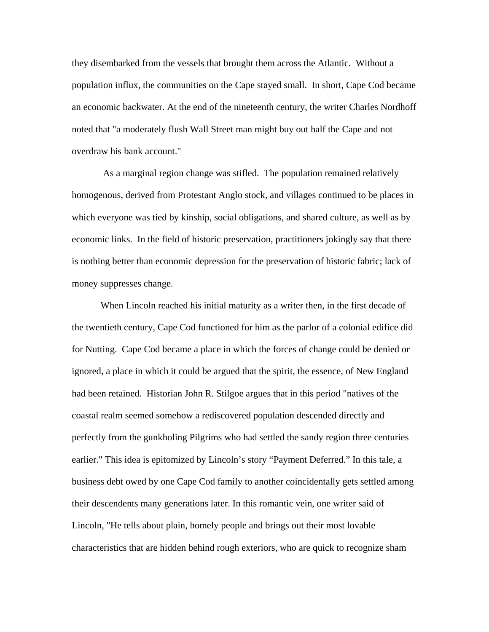they disembarked from the vessels that brought them across the Atlantic. Without a population influx, the communities on the Cape stayed small. In short, Cape Cod became an economic backwater. At the end of the nineteenth century, the writer Charles Nordhoff noted that "a moderately flush Wall Street man might buy out half the Cape and not overdraw his bank account."

 As a marginal region change was stifled. The population remained relatively homogenous, derived from Protestant Anglo stock, and villages continued to be places in which everyone was tied by kinship, social obligations, and shared culture, as well as by economic links. In the field of historic preservation, practitioners jokingly say that there is nothing better than economic depression for the preservation of historic fabric; lack of money suppresses change.

 When Lincoln reached his initial maturity as a writer then, in the first decade of the twentieth century, Cape Cod functioned for him as the parlor of a colonial edifice did for Nutting. Cape Cod became a place in which the forces of change could be denied or ignored, a place in which it could be argued that the spirit, the essence, of New England had been retained. Historian John R. Stilgoe argues that in this period "natives of the coastal realm seemed somehow a rediscovered population descended directly and perfectly from the gunkholing Pilgrims who had settled the sandy region three centuries earlier." This idea is epitomized by Lincoln's story "Payment Deferred." In this tale, a business debt owed by one Cape Cod family to another coincidentally gets settled among their descendents many generations later. In this romantic vein, one writer said of Lincoln, "He tells about plain, homely people and brings out their most lovable characteristics that are hidden behind rough exteriors, who are quick to recognize sham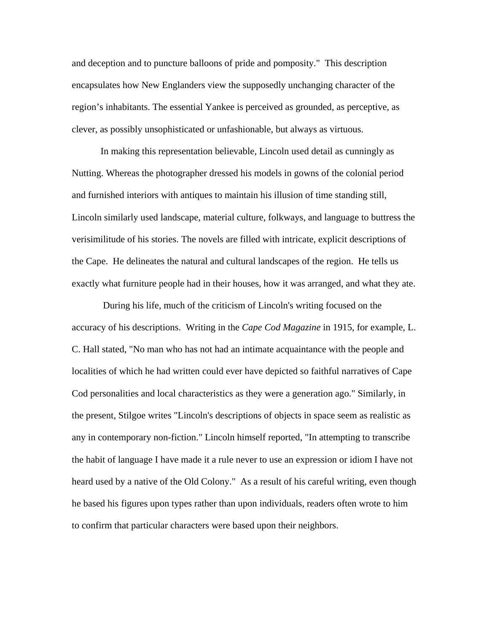and deception and to puncture balloons of pride and pomposity." This description encapsulates how New Englanders view the supposedly unchanging character of the region's inhabitants. The essential Yankee is perceived as grounded, as perceptive, as clever, as possibly unsophisticated or unfashionable, but always as virtuous.

 In making this representation believable, Lincoln used detail as cunningly as Nutting. Whereas the photographer dressed his models in gowns of the colonial period and furnished interiors with antiques to maintain his illusion of time standing still, Lincoln similarly used landscape, material culture, folkways, and language to buttress the verisimilitude of his stories. The novels are filled with intricate, explicit descriptions of the Cape. He delineates the natural and cultural landscapes of the region. He tells us exactly what furniture people had in their houses, how it was arranged, and what they ate.

 During his life, much of the criticism of Lincoln's writing focused on the accuracy of his descriptions. Writing in the *Cape Cod Magazine* in 1915, for example, L. C. Hall stated, "No man who has not had an intimate acquaintance with the people and localities of which he had written could ever have depicted so faithful narratives of Cape Cod personalities and local characteristics as they were a generation ago." Similarly, in the present, Stilgoe writes "Lincoln's descriptions of objects in space seem as realistic as any in contemporary non-fiction." Lincoln himself reported, "In attempting to transcribe the habit of language I have made it a rule never to use an expression or idiom I have not heard used by a native of the Old Colony." As a result of his careful writing, even though he based his figures upon types rather than upon individuals, readers often wrote to him to confirm that particular characters were based upon their neighbors.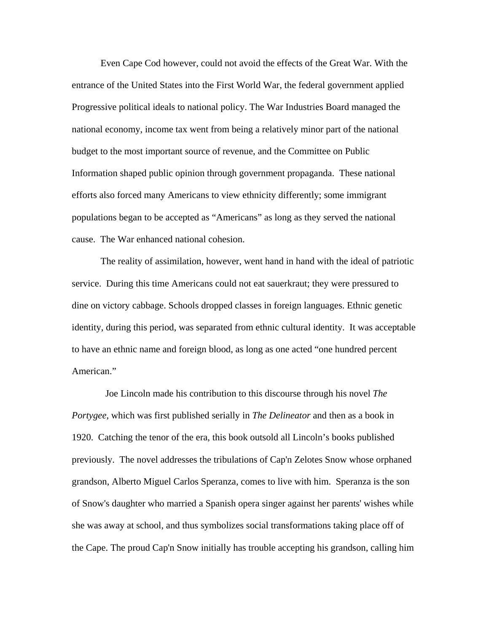Even Cape Cod however, could not avoid the effects of the Great War. With the entrance of the United States into the First World War, the federal government applied Progressive political ideals to national policy. The War Industries Board managed the national economy, income tax went from being a relatively minor part of the national budget to the most important source of revenue, and the Committee on Public Information shaped public opinion through government propaganda. These national efforts also forced many Americans to view ethnicity differently; some immigrant populations began to be accepted as "Americans" as long as they served the national cause. The War enhanced national cohesion.

 The reality of assimilation, however, went hand in hand with the ideal of patriotic service. During this time Americans could not eat sauerkraut; they were pressured to dine on victory cabbage. Schools dropped classes in foreign languages. Ethnic genetic identity, during this period, was separated from ethnic cultural identity. It was acceptable to have an ethnic name and foreign blood, as long as one acted "one hundred percent American."

 Joe Lincoln made his contribution to this discourse through his novel *The Portygee*, which was first published serially in *The Delineator* and then as a book in 1920. Catching the tenor of the era, this book outsold all Lincoln's books published previously. The novel addresses the tribulations of Cap'n Zelotes Snow whose orphaned grandson, Alberto Miguel Carlos Speranza, comes to live with him. Speranza is the son of Snow's daughter who married a Spanish opera singer against her parents' wishes while she was away at school, and thus symbolizes social transformations taking place off of the Cape. The proud Cap'n Snow initially has trouble accepting his grandson, calling him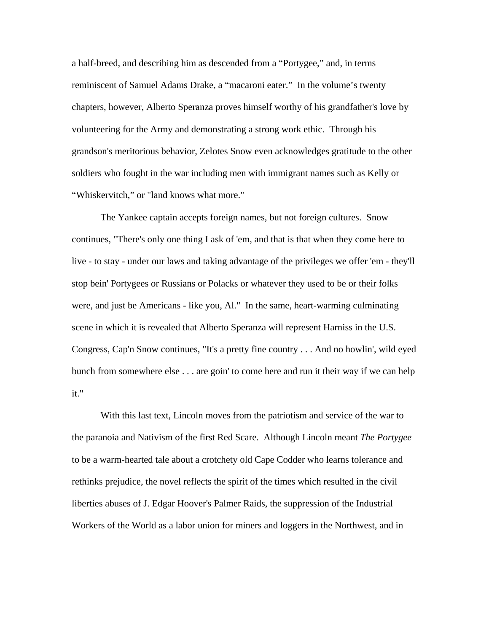a half-breed, and describing him as descended from a "Portygee," and, in terms reminiscent of Samuel Adams Drake, a "macaroni eater." In the volume's twenty chapters, however, Alberto Speranza proves himself worthy of his grandfather's love by volunteering for the Army and demonstrating a strong work ethic. Through his grandson's meritorious behavior, Zelotes Snow even acknowledges gratitude to the other soldiers who fought in the war including men with immigrant names such as Kelly or "Whiskervitch," or "land knows what more."

 The Yankee captain accepts foreign names, but not foreign cultures. Snow continues, "There's only one thing I ask of 'em, and that is that when they come here to live - to stay - under our laws and taking advantage of the privileges we offer 'em - they'll stop bein' Portygees or Russians or Polacks or whatever they used to be or their folks were, and just be Americans - like you, Al." In the same, heart-warming culminating scene in which it is revealed that Alberto Speranza will represent Harniss in the U.S. Congress, Cap'n Snow continues, "It's a pretty fine country . . . And no howlin', wild eyed bunch from somewhere else . . . are goin' to come here and run it their way if we can help it."

With this last text, Lincoln moves from the patriotism and service of the war to the paranoia and Nativism of the first Red Scare. Although Lincoln meant *The Portygee* to be a warm-hearted tale about a crotchety old Cape Codder who learns tolerance and rethinks prejudice, the novel reflects the spirit of the times which resulted in the civil liberties abuses of J. Edgar Hoover's Palmer Raids, the suppression of the Industrial Workers of the World as a labor union for miners and loggers in the Northwest, and in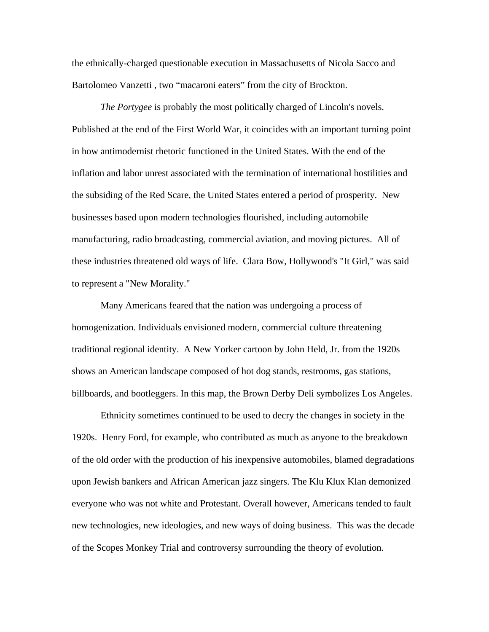the ethnically-charged questionable execution in Massachusetts of Nicola Sacco and Bartolomeo Vanzetti , two "macaroni eaters" from the city of Brockton.

*The Portygee* is probably the most politically charged of Lincoln's novels. Published at the end of the First World War, it coincides with an important turning point in how antimodernist rhetoric functioned in the United States. With the end of the inflation and labor unrest associated with the termination of international hostilities and the subsiding of the Red Scare, the United States entered a period of prosperity. New businesses based upon modern technologies flourished, including automobile manufacturing, radio broadcasting, commercial aviation, and moving pictures. All of these industries threatened old ways of life. Clara Bow, Hollywood's "It Girl," was said to represent a "New Morality."

Many Americans feared that the nation was undergoing a process of homogenization. Individuals envisioned modern, commercial culture threatening traditional regional identity. A New Yorker cartoon by John Held, Jr. from the 1920s shows an American landscape composed of hot dog stands, restrooms, gas stations, billboards, and bootleggers. In this map, the Brown Derby Deli symbolizes Los Angeles.

 Ethnicity sometimes continued to be used to decry the changes in society in the 1920s. Henry Ford, for example, who contributed as much as anyone to the breakdown of the old order with the production of his inexpensive automobiles, blamed degradations upon Jewish bankers and African American jazz singers. The Klu Klux Klan demonized everyone who was not white and Protestant. Overall however, Americans tended to fault new technologies, new ideologies, and new ways of doing business. This was the decade of the Scopes Monkey Trial and controversy surrounding the theory of evolution.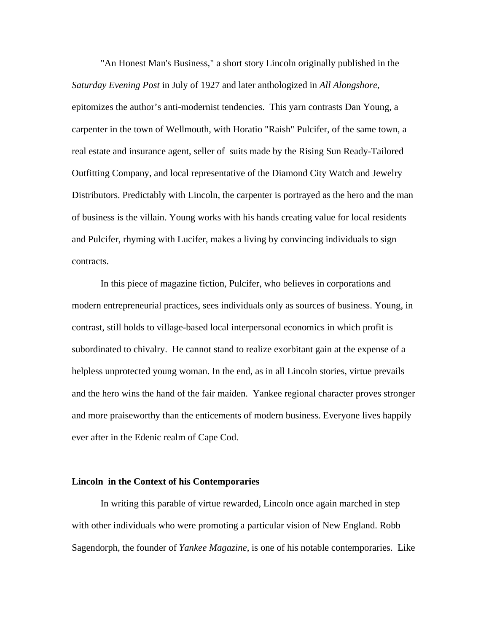"An Honest Man's Business," a short story Lincoln originally published in the *Saturday Evening Post* in July of 1927 and later anthologized in *All Alongshore*, epitomizes the author's anti-modernist tendencies. This yarn contrasts Dan Young, a carpenter in the town of Wellmouth, with Horatio "Raish" Pulcifer, of the same town, a real estate and insurance agent, seller of suits made by the Rising Sun Ready-Tailored Outfitting Company, and local representative of the Diamond City Watch and Jewelry Distributors. Predictably with Lincoln, the carpenter is portrayed as the hero and the man of business is the villain. Young works with his hands creating value for local residents and Pulcifer, rhyming with Lucifer, makes a living by convincing individuals to sign contracts.

 In this piece of magazine fiction, Pulcifer, who believes in corporations and modern entrepreneurial practices, sees individuals only as sources of business. Young, in contrast, still holds to village-based local interpersonal economics in which profit is subordinated to chivalry. He cannot stand to realize exorbitant gain at the expense of a helpless unprotected young woman. In the end, as in all Lincoln stories, virtue prevails and the hero wins the hand of the fair maiden. Yankee regional character proves stronger and more praiseworthy than the enticements of modern business. Everyone lives happily ever after in the Edenic realm of Cape Cod.

#### **Lincoln in the Context of his Contemporaries**

 In writing this parable of virtue rewarded, Lincoln once again marched in step with other individuals who were promoting a particular vision of New England. Robb Sagendorph, the founder of *Yankee Magazine*, is one of his notable contemporaries. Like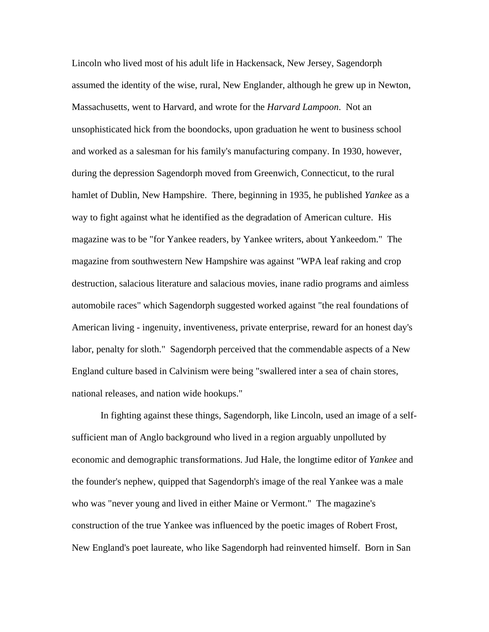Lincoln who lived most of his adult life in Hackensack, New Jersey, Sagendorph assumed the identity of the wise, rural, New Englander, although he grew up in Newton, Massachusetts, went to Harvard, and wrote for the *Harvard Lampoon*. Not an unsophisticated hick from the boondocks, upon graduation he went to business school and worked as a salesman for his family's manufacturing company. In 1930, however, during the depression Sagendorph moved from Greenwich, Connecticut, to the rural hamlet of Dublin, New Hampshire. There, beginning in 1935, he published *Yankee* as a way to fight against what he identified as the degradation of American culture. His magazine was to be "for Yankee readers, by Yankee writers, about Yankeedom." The magazine from southwestern New Hampshire was against "WPA leaf raking and crop destruction, salacious literature and salacious movies, inane radio programs and aimless automobile races" which Sagendorph suggested worked against "the real foundations of American living - ingenuity, inventiveness, private enterprise, reward for an honest day's labor, penalty for sloth." Sagendorph perceived that the commendable aspects of a New England culture based in Calvinism were being "swallered inter a sea of chain stores, national releases, and nation wide hookups."

 In fighting against these things, Sagendorph, like Lincoln, used an image of a selfsufficient man of Anglo background who lived in a region arguably unpolluted by economic and demographic transformations. Jud Hale, the longtime editor of *Yankee* and the founder's nephew, quipped that Sagendorph's image of the real Yankee was a male who was "never young and lived in either Maine or Vermont." The magazine's construction of the true Yankee was influenced by the poetic images of Robert Frost, New England's poet laureate, who like Sagendorph had reinvented himself. Born in San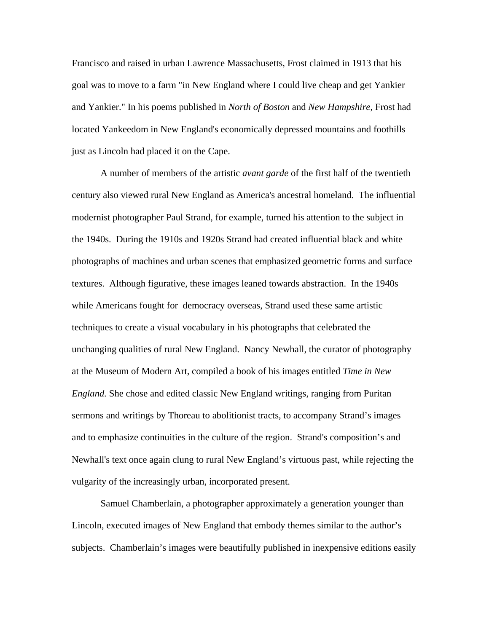Francisco and raised in urban Lawrence Massachusetts, Frost claimed in 1913 that his goal was to move to a farm "in New England where I could live cheap and get Yankier and Yankier." In his poems published in *North of Boston* and *New Hampshire*, Frost had located Yankeedom in New England's economically depressed mountains and foothills just as Lincoln had placed it on the Cape.

A number of members of the artistic *avant garde* of the first half of the twentieth century also viewed rural New England as America's ancestral homeland. The influential modernist photographer Paul Strand, for example, turned his attention to the subject in the 1940s. During the 1910s and 1920s Strand had created influential black and white photographs of machines and urban scenes that emphasized geometric forms and surface textures. Although figurative, these images leaned towards abstraction. In the 1940s while Americans fought for democracy overseas, Strand used these same artistic techniques to create a visual vocabulary in his photographs that celebrated the unchanging qualities of rural New England. Nancy Newhall, the curator of photography at the Museum of Modern Art, compiled a book of his images entitled *Time in New England.* She chose and edited classic New England writings, ranging from Puritan sermons and writings by Thoreau to abolitionist tracts, to accompany Strand's images and to emphasize continuities in the culture of the region. Strand's composition's and Newhall's text once again clung to rural New England's virtuous past, while rejecting the vulgarity of the increasingly urban, incorporated present.

 Samuel Chamberlain, a photographer approximately a generation younger than Lincoln, executed images of New England that embody themes similar to the author's subjects. Chamberlain's images were beautifully published in inexpensive editions easily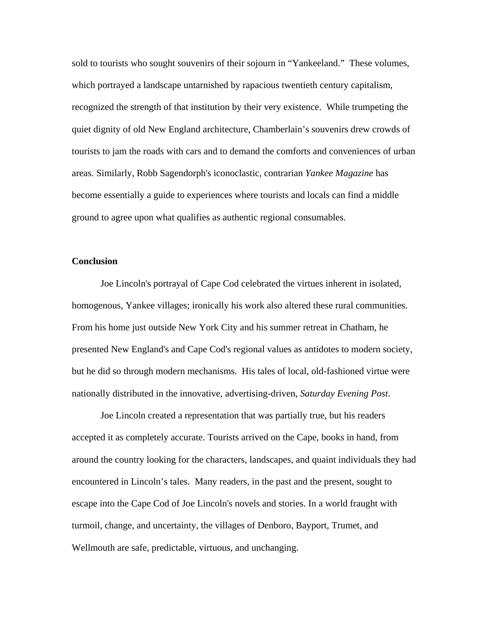sold to tourists who sought souvenirs of their sojourn in "Yankeeland." These volumes, which portrayed a landscape untarnished by rapacious twentieth century capitalism, recognized the strength of that institution by their very existence. While trumpeting the quiet dignity of old New England architecture, Chamberlain's souvenirs drew crowds of tourists to jam the roads with cars and to demand the comforts and conveniences of urban areas. Similarly, Robb Sagendorph's iconoclastic, contrarian *Yankee Magazine* has become essentially a guide to experiences where tourists and locals can find a middle ground to agree upon what qualifies as authentic regional consumables.

### **Conclusion**

Joe Lincoln's portrayal of Cape Cod celebrated the virtues inherent in isolated, homogenous, Yankee villages; ironically his work also altered these rural communities. From his home just outside New York City and his summer retreat in Chatham, he presented New England's and Cape Cod's regional values as antidotes to modern society, but he did so through modern mechanisms. His tales of local, old-fashioned virtue were nationally distributed in the innovative, advertising-driven, *Saturday Evening Post*.

 Joe Lincoln created a representation that was partially true, but his readers accepted it as completely accurate. Tourists arrived on the Cape, books in hand, from around the country looking for the characters, landscapes, and quaint individuals they had encountered in Lincoln's tales. Many readers, in the past and the present, sought to escape into the Cape Cod of Joe Lincoln's novels and stories. In a world fraught with turmoil, change, and uncertainty, the villages of Denboro, Bayport, Trumet, and Wellmouth are safe, predictable, virtuous, and unchanging.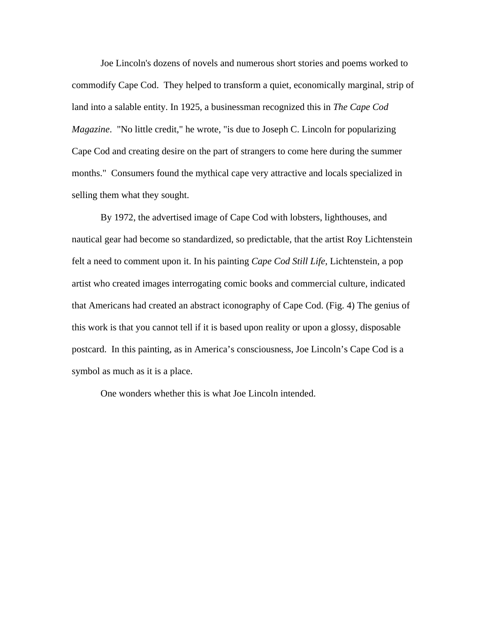Joe Lincoln's dozens of novels and numerous short stories and poems worked to commodify Cape Cod. They helped to transform a quiet, economically marginal, strip of land into a salable entity. In 1925, a businessman recognized this in *The Cape Cod Magazine*. "No little credit," he wrote, "is due to Joseph C. Lincoln for popularizing Cape Cod and creating desire on the part of strangers to come here during the summer months." Consumers found the mythical cape very attractive and locals specialized in selling them what they sought.

 By 1972, the advertised image of Cape Cod with lobsters, lighthouses, and nautical gear had become so standardized, so predictable, that the artist Roy Lichtenstein felt a need to comment upon it. In his painting *Cape Cod Still Life*, Lichtenstein, a pop artist who created images interrogating comic books and commercial culture, indicated that Americans had created an abstract iconography of Cape Cod. (Fig. 4) The genius of this work is that you cannot tell if it is based upon reality or upon a glossy, disposable postcard. In this painting, as in America's consciousness, Joe Lincoln's Cape Cod is a symbol as much as it is a place.

One wonders whether this is what Joe Lincoln intended.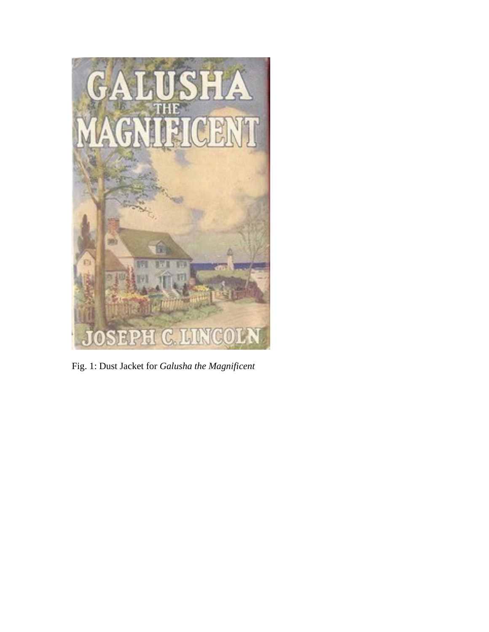

Fig. 1: Dust Jacket for *Galusha the Magnificent*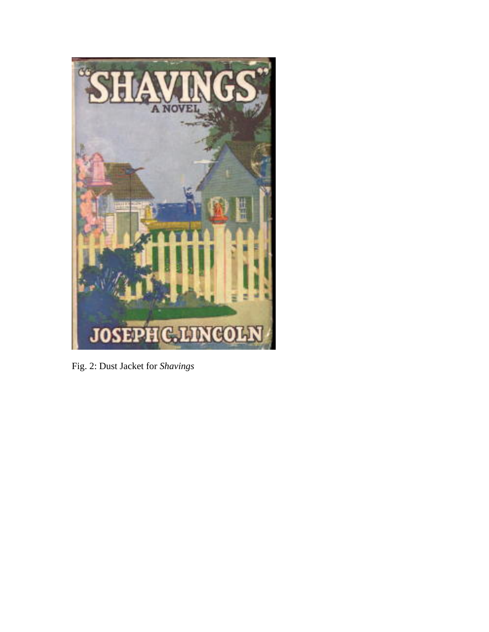

Fig. 2: Dust Jacket for *Shavings*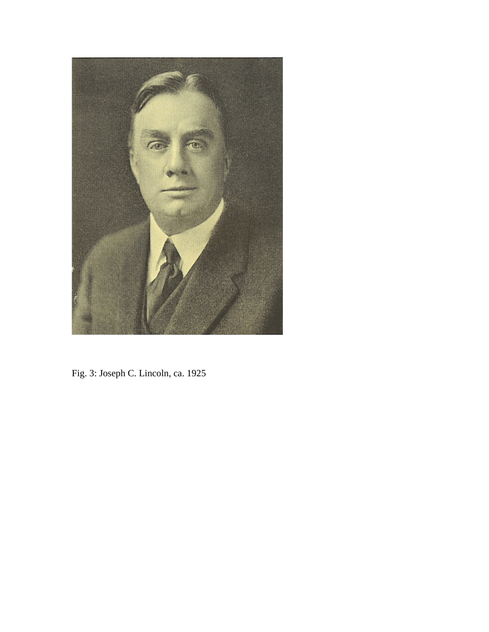

Fig. 3: Joseph C. Lincoln, ca. 1925